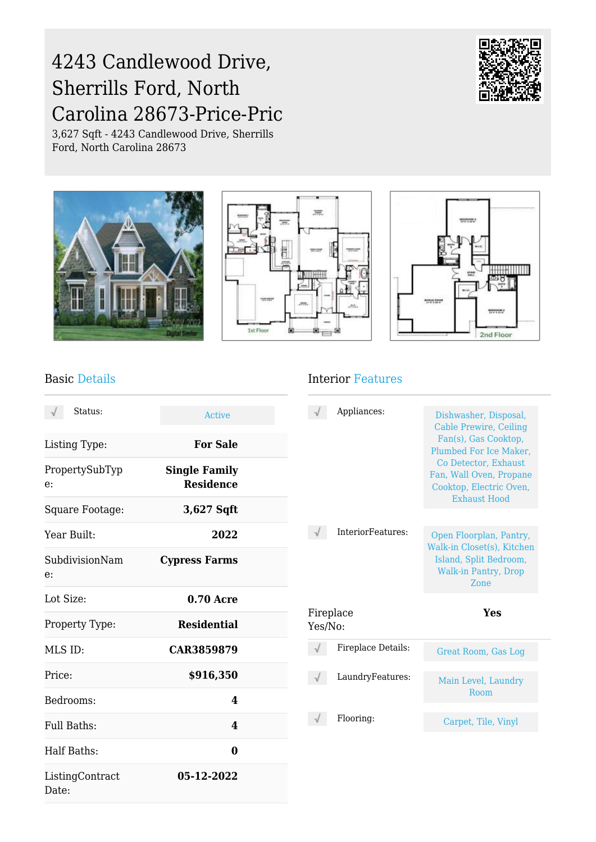# 4243 Candlewood Drive, Sherrills Ford, North Carolina 28673-Price-Pric

3,627 Sqft - 4243 Candlewood Drive, Sherrills Ford, North Carolina 28673









#### Basic Details

| Status:                  | Active                                   |
|--------------------------|------------------------------------------|
| Listing Type:            | <b>For Sale</b>                          |
| PropertySubTyp<br>e:     | <b>Single Family</b><br><b>Residence</b> |
| Square Footage:          | 3,627 Sqft                               |
| Year Built:              | 2022                                     |
| SubdivisionNam<br>e:     | <b>Cypress Farms</b>                     |
| Lot Size:                | <b>0.70 Acre</b>                         |
| Property Type:           | <b>Residential</b>                       |
| MLS ID:                  | CAR3859879                               |
| Price:                   | \$916,350                                |
| Bedrooms:                | 4                                        |
| Full Baths:              | 4                                        |
| <b>Half Baths:</b>       | 0                                        |
| ListingContract<br>Date: | 05-12-2022                               |

#### Interior Features

|                      | Appliances:        | Dishwasher, Disposal,<br>Cable Prewire, Ceiling<br>Fan(s), Gas Cooktop,<br>Plumbed For Ice Maker.<br>Co Detector, Exhaust<br>Fan, Wall Oven, Propane<br>Cooktop, Electric Oven,<br><b>Exhaust Hood</b> |
|----------------------|--------------------|--------------------------------------------------------------------------------------------------------------------------------------------------------------------------------------------------------|
|                      | InteriorFeatures:  | Open Floorplan, Pantry,<br>Walk-in Closet(s), Kitchen<br>Island, Split Bedroom,<br><b>Walk-in Pantry, Drop</b><br>Zone                                                                                 |
| Fireplace<br>Yes/No: |                    | Yes                                                                                                                                                                                                    |
|                      | Fireplace Details: | Great Room, Gas Log                                                                                                                                                                                    |
|                      | LaundryFeatures:   | Main Level, Laundry<br>Room                                                                                                                                                                            |
|                      | Flooring:          | Carpet, Tile, Vinyl                                                                                                                                                                                    |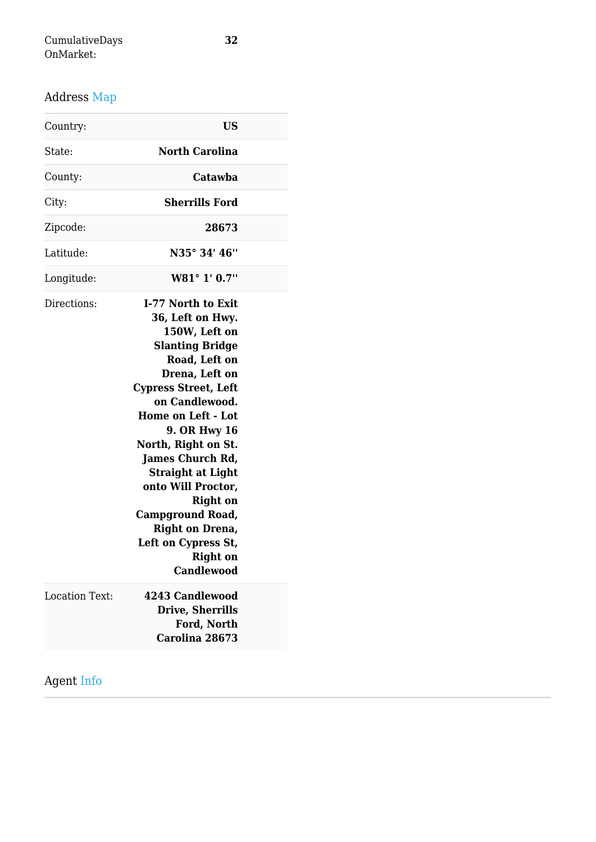## Address Map

| Country:              | <b>US</b>                                                                                                                                                                                                                                                                                                                                                                                                                                                            |  |
|-----------------------|----------------------------------------------------------------------------------------------------------------------------------------------------------------------------------------------------------------------------------------------------------------------------------------------------------------------------------------------------------------------------------------------------------------------------------------------------------------------|--|
| State:                | <b>North Carolina</b>                                                                                                                                                                                                                                                                                                                                                                                                                                                |  |
| County:               | Catawba                                                                                                                                                                                                                                                                                                                                                                                                                                                              |  |
| City:                 | <b>Sherrills Ford</b>                                                                                                                                                                                                                                                                                                                                                                                                                                                |  |
| Zipcode:              | 28673                                                                                                                                                                                                                                                                                                                                                                                                                                                                |  |
| Latitude:             | N35° 34' 46"                                                                                                                                                                                                                                                                                                                                                                                                                                                         |  |
| Longitude:            | W81° 1' 0.7"                                                                                                                                                                                                                                                                                                                                                                                                                                                         |  |
| Directions:           | I-77 North to Exit<br>36, Left on Hwy.<br>150W, Left on<br><b>Slanting Bridge</b><br>Road, Left on<br>Drena, Left on<br><b>Cypress Street, Left</b><br>on Candlewood.<br><b>Home on Left - Lot</b><br><b>9. OR Hwy 16</b><br>North, Right on St.<br><b>James Church Rd,</b><br><b>Straight at Light</b><br>onto Will Proctor,<br><b>Right on</b><br><b>Campground Road,</b><br><b>Right on Drena,</b><br>Left on Cypress St,<br><b>Right</b> on<br><b>Candlewood</b> |  |
| <b>Location Text:</b> | 4243 Candlewood<br><b>Drive, Sherrills</b><br>Ford, North<br>Carolina 28673                                                                                                                                                                                                                                                                                                                                                                                          |  |
|                       |                                                                                                                                                                                                                                                                                                                                                                                                                                                                      |  |

### Agent Info